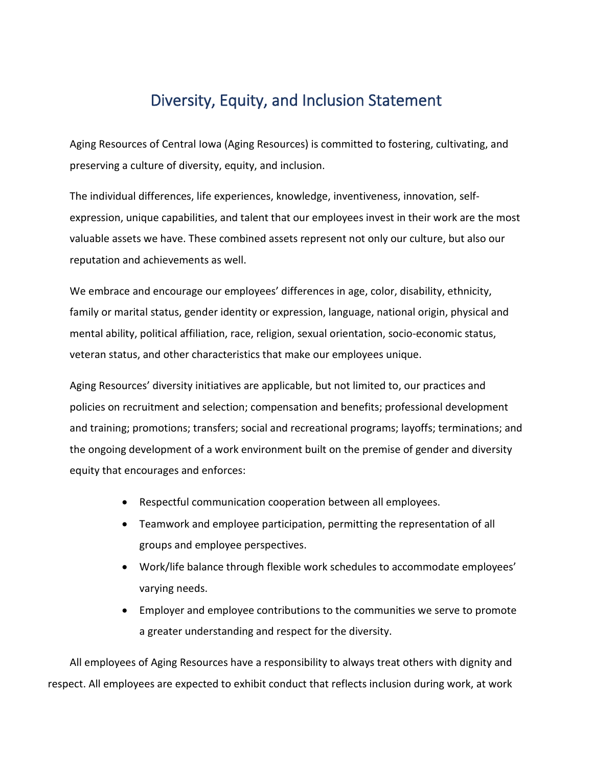## Diversity, Equity, and Inclusion Statement

Aging Resources of Central Iowa (Aging Resources) is committed to fostering, cultivating, and preserving a culture of diversity, equity, and inclusion.

The individual differences, life experiences, knowledge, inventiveness, innovation, selfexpression, unique capabilities, and talent that our employees invest in their work are the most valuable assets we have. These combined assets represent not only our culture, but also our reputation and achievements as well.

We embrace and encourage our employees' differences in age, color, disability, ethnicity, family or marital status, gender identity or expression, language, national origin, physical and mental ability, political affiliation, race, religion, sexual orientation, socio-economic status, veteran status, and other characteristics that make our employees unique.

Aging Resources' diversity initiatives are applicable, but not limited to, our practices and policies on recruitment and selection; compensation and benefits; professional development and training; promotions; transfers; social and recreational programs; layoffs; terminations; and the ongoing development of a work environment built on the premise of gender and diversity equity that encourages and enforces:

- Respectful communication cooperation between all employees.
- Teamwork and employee participation, permitting the representation of all groups and employee perspectives.
- Work/life balance through flexible work schedules to accommodate employees' varying needs.
- Employer and employee contributions to the communities we serve to promote a greater understanding and respect for the diversity.

All employees of Aging Resources have a responsibility to always treat others with dignity and respect. All employees are expected to exhibit conduct that reflects inclusion during work, at work